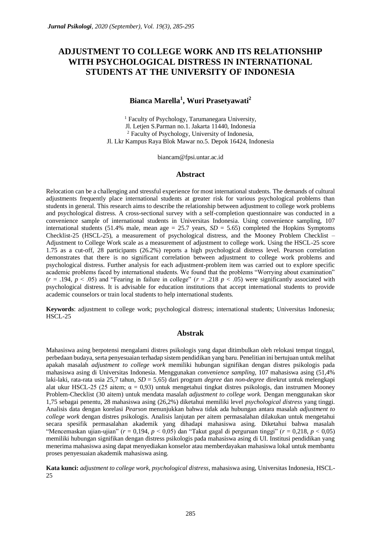# **ADJUSTMENT TO COLLEGE WORK AND ITS RELATIONSHIP WITH PSYCHOLOGICAL DISTRESS IN INTERNATIONAL STUDENTS AT THE UNIVERSITY OF INDONESIA**

#### **Bianca Marella<sup>1</sup> , Wuri Prasetyawati<sup>2</sup>**

<sup>1</sup> Faculty of Psychology, Tarumanegara University, Jl. Letjen S.Parman no.1. Jakarta 11440, Indonesia <sup>2</sup> Faculty of Psychology, University of Indonesia, Jl. Lkr Kampus Raya Blok Mawar no.5. Depok 16424, Indonesia

biancam@fpsi.untar.ac.id

#### **Abstract**

Relocation can be a challenging and stressful experience for most international students. The demands of cultural adjustments frequently place international students at greater risk for various psychological problems than students in general. This research aims to describe the relationship between adjustment to college work problems and psychological distress. A cross-sectional survey with a self-completion questionnaire was conducted in a convenience sample of international students in Universitas Indonesia. Using convenience sampling, 107 international students (51.4% male, mean age = 25.7 years,  $SD = 5.65$ ) completed the Hopkins Symptoms Checklist-25 (HSCL-25), a measurement of psychological distress, and the Mooney Problem Checklist – Adjustment to College Work scale as a measurement of adjustment to college work. Using the HSCL-25 score 1.75 as a cut-off, 28 participants (26.2%) reports a high psychological distress level. Pearson correlation demonstrates that there is no significant correlation between adjustment to college work problems and psychological distress. Further analysis for each adjustment-problem item was carried out to explore specific academic problems faced by international students. We found that the problems "Worrying about examination"  $(r = .194, p < .05)$  and "Fearing in failure in college"  $(r = .218, p < .05)$  were significantly associated with psychological distress. It is advisable for education institutions that accept international students to provide academic counselors or train local students to help international students.

**Keywords**: adjustment to college work; psychological distress; international students; Universitas Indonesia; HSCL-25

#### **Abstrak**

Mahasiswa asing berpotensi mengalami distres psikologis yang dapat ditimbulkan oleh relokasi tempat tinggal, perbedaan budaya, serta penyesuaian terhadap sistem pendidikan yang baru. Penelitian ini bertujuan untuk melihat apakah masalah *adjustment to college work* memiliki hubungan signifikan dengan distres psikologis pada mahasiswa asing di Universitas Indonesia. Menggunakan *convenience sampling,* 107 mahasiswa asing (51,4% laki-laki, rata-rata usia 25,7 tahun, *SD* = 5,65) dari program *degree* dan *non-degree* direkrut untuk melengkapi alat ukur HSCL-25 (25 aitem; α = 0,93) untuk mengetahui tingkat distres psikologis*,* dan instrumen Mooney Problem-Checklist (30 aitem) untuk mendata masalah *adjustment to college work.* Dengan menggunakan skor 1,75 sebagai penentu, 28 mahasiswa asing (26,2%) diketahui memiliki level *psychological distress* yang tinggi. Analisis data dengan korelasi *Pearson* menunjukkan bahwa tidak ada hubungan antara masalah *adjustment to college work* dengan distres psikologis. Analisis lanjutan per aitem permasalahan dilakukan untuk mengetahui secara spesifik permasalahan akademik yang dihadapi mahasiswa asing. Diketahui bahwa masalah "Mencemaskan ujian-ujian" (*r* = 0,194, *p* < 0,05) dan "Takut gagal di perguruan tinggi" (*r* = 0,218, *p* < 0,05) memiliki hubungan signifikan dengan distress psikologis pada mahasiswa asing di UI. Institusi pendidikan yang menerima mahasiswa asing dapat menyediakan konselor atau memberdayakan mahasiswa lokal untuk membantu proses penyesuaian akademik mahasiswa asing.

**Kata kunci:** *adjustment to college work, psychological distress*, mahasiswa asing, Universitas Indonesia, HSCL-25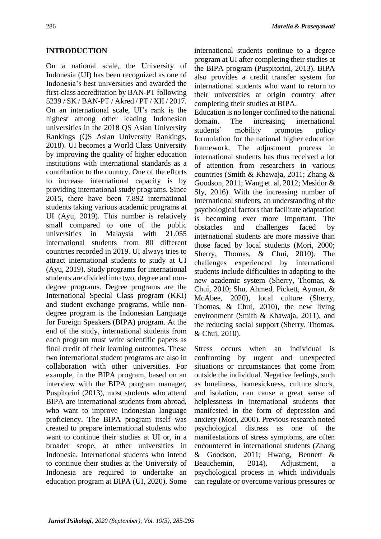#### **INTRODUCTION**

On a national scale, the University of Indonesia (UI) has been recognized as one of Indonesia's best universities and awarded the first-class accreditation by BAN-PT following 5239 / SK / BAN-PT / Akred / PT / XII / 2017. On an international scale, UI's rank is the highest among other leading Indonesian universities in the 2018 QS Asian University Rankings (QS Asian University Rankings, 2018). UI becomes a World Class University by improving the quality of higher education institutions with international standards as a contribution to the country. One of the efforts to increase international capacity is by providing international study programs. Since 2015, there have been 7.892 international students taking various academic programs at UI (Ayu, 2019). This number is relatively small compared to one of the public universities in Malaysia with 21.055 international students from 80 different countries recorded in 2019. UI always tries to attract international students to study at UI (Ayu, 2019). Study programs for international students are divided into two, degree and nondegree programs. Degree programs are the International Special Class program (KKI) and student exchange programs, while nondegree program is the Indonesian Language for Foreign Speakers (BIPA) program. At the end of the study, international students from each program must write scientific papers as final credit of their learning outcomes. These two international student programs are also in collaboration with other universities. For example, in the BIPA program, based on an interview with the BIPA program manager, Puspitorini (2013), most students who attend BIPA are international students from abroad, who want to improve Indonesian language proficiency. The BIPA program itself was created to prepare international students who want to continue their studies at UI or, in a broader scope, at other universities in Indonesia. International students who intend to continue their studies at the University of Indonesia are required to undertake an education program at BIPA (UI, 2020). Some international students continue to a degree program at UI after completing their studies at the BIPA program (Puspitorini, 2013). BIPA also provides a credit transfer system for international students who want to return to their universities at origin country after completing their studies at BIPA.

Education is no longer confined to the national domain. The increasing international students' mobility promotes policy formulation for the national higher education framework. The adjustment process in international students has thus received a lot of attention from researchers in various countries (Smith & Khawaja, 2011; Zhang & Goodson, 2011; Wang et. al, 2012; Mesidor & Sly, 2016). With the increasing number of international students, an understanding of the psychological factors that facilitate adaptation is becoming ever more important. The obstacles and challenges faced by international students are more massive than those faced by local students (Mori, 2000; Sherry, Thomas, & Chui, 2010). The challenges experienced by international students include difficulties in adapting to the new academic system (Sherry, Thomas, & Chui, 2010; Shu, Ahmed, Pickett, Ayman, & McAbee, 2020), local culture (Sherry, Thomas, & Chui, 2010), the new living environment (Smith & Khawaja, 2011), and the reducing social support (Sherry, Thomas, & Chui, 2010).

Stress occurs when an individual is confronting by urgent and unexpected situations or circumstances that come from outside the individual. Negative feelings, such as loneliness, homesickness, culture shock, and isolation, can cause a great sense of helplessness in international students that manifested in the form of depression and anxiety (Mori, 2000). Previous research noted psychological distress as one of the manifestations of stress symptoms, are often encountered in international students (Zhang & Goodson, 2011; Hwang, Bennett & Beauchemin, 2014). Adjustment, a psychological process in which individuals can regulate or overcome various pressures or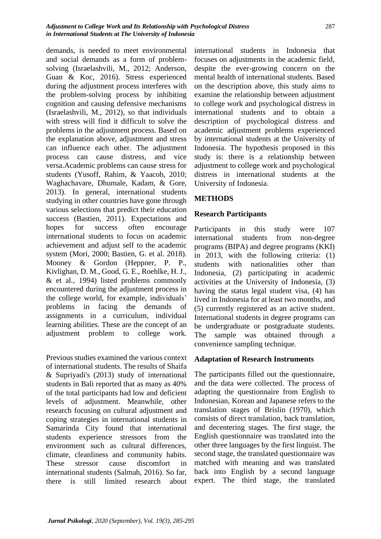demands, is needed to meet environmental and social demands as a form of problemsolving (Israelashvili, M., 2012; Anderson, Guan & Koc, 2016). Stress experienced during the adjustment process interferes with the problem-solving process by inhibiting cognition and causing defensive mechanisms (Israelashvili, M., 2012), so that individuals with stress will find it difficult to solve the problems in the adjustment process. Based on the explanation above, adjustment and stress can influence each other. The adjustment process can cause distress, and vice versa.Academic problems can cause stress for students (Yusoff, Rahim, & Yaacob, 2010; Waghachavare, Dhumale, Kadam, & Gore, 2013). In general, international students studying in other countries have gone through various selections that predict their education success (Bastien, 2011). Expectations and hopes for success often encourage international students to focus on academic achievement and adjust self to the academic system (Mori, 2000; Bastien, G. et al. 2018). Mooney & Gordon (Heppner, P. P., Kivlighan, D. M., Good, G. E., Roehlke, H. J., & et al., 1994) listed problems commonly encountered during the adjustment process in the college world, for example, individuals' problems in facing the demands of assignments in a curriculum, individual learning abilities. These are the concept of an adjustment problem to college work.

Previous studies examined the various context of international students. The results of Shaifa & Supriyadi's (2013) study of international students in Bali reported that as many as 40% of the total participants had low and deficient levels of adjustment. Meanwhile, other research focusing on cultural adjustment and coping strategies in international students in Samarinda City found that international students experience stressors from the environment such as cultural differences, climate, cleanliness and community habits. These stressor cause discomfort in international students (Salmah, 2016). So far, there is still limited research about international students in Indonesia that focuses on adjustments in the academic field, despite the ever-growing concern on the mental health of international students. Based on the description above, this study aims to examine the relationship between adjustment to college work and psychological distress in international students and to obtain a description of psychological distress and academic adjustment problems experienced by international students at the University of Indonesia. The hypothesis proposed in this study is: there is a relationship between adjustment to college work and psychological distress in international students at the University of Indonesia.

# **METHODS**

### **Research Participants**

Participants in this study were 107 international students from non-degree programs (BIPA) and degree programs (KKI) in 2013, with the following criteria: (1) students with nationalities other than Indonesia, (2) participating in academic activities at the University of Indonesia, (3) having the status legal student visa, (4) has lived in Indonesia for at least two months, and (5) currently registered as an active student. International students in degree programs can be undergraduate or postgraduate students. The sample was obtained through a convenience sampling technique.

#### **Adaptation of Research Instruments**

The participants filled out the questionnaire, and the data were collected. The process of adapting the questionnaire from English to Indonesian, Korean and Japanese refers to the translation stages of Brislin (1970), which consists of direct translation, back translation, and decentering stages. The first stage, the English questionnaire was translated into the other three languages by the first linguist. The second stage, the translated questionnaire was matched with meaning and was translated back into English by a second language expert. The third stage, the translated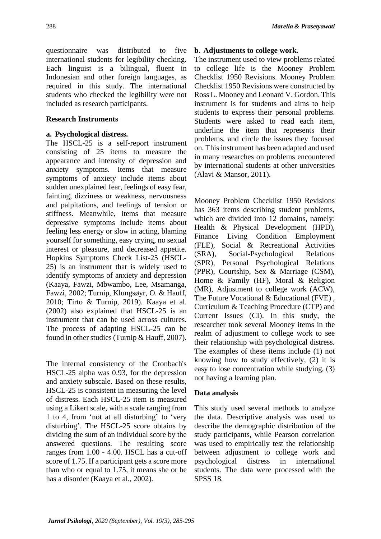questionnaire was distributed to five international students for legibility checking. Each linguist is a bilingual, fluent in Indonesian and other foreign languages, as required in this study. The international students who checked the legibility were not included as research participants.

#### **Research Instruments**

#### **a. Psychological distress.**

The HSCL-25 is a self-report instrument consisting of 25 items to measure the appearance and intensity of depression and anxiety symptoms. Items that measure symptoms of anxiety include items about sudden unexplained fear, feelings of easy fear, fainting, dizziness or weakness, nervousness and palpitations, and feelings of tension or stiffness. Meanwhile, items that measure depressive symptoms include items about feeling less energy or slow in acting, blaming yourself for something, easy crying, no sexual interest or pleasure, and decreased appetite. Hopkins Symptoms Check List-25 (HSCL-25) is an instrument that is widely used to identify symptoms of anxiety and depression (Kaaya, Fawzi, Mbwambo, Lee, Msamanga, Fawzi, 2002; Turnip, Klungsøyr, O. & Hauff, 2010; Tirto & Turnip, 2019). Kaaya et al. (2002) also explained that HSCL-25 is an instrument that can be used across cultures. The process of adapting HSCL-25 can be found in other studies (Turnip & Hauff, 2007).

The internal consistency of the Cronbach's HSCL-25 alpha was 0.93, for the depression and anxiety subscale. Based on these results, HSCL-25 is consistent in measuring the level of distress. Each HSCL-25 item is measured using a Likert scale, with a scale ranging from 1 to 4, from 'not at all disturbing' to 'very disturbing'. The HSCL-25 score obtains by dividing the sum of an individual score by the answered questions. The resulting score ranges from 1.00 - 4.00. HSCL has a cut-off score of 1.75. If a participant gets a score more than who or equal to 1.75, it means she or he has a disorder (Kaaya et al., 2002).

#### **b. Adjustments to college work.**

The instrument used to view problems related to college life is the Mooney Problem Checklist 1950 Revisions. Mooney Problem Checklist 1950 Revisions were constructed by Ross L. Mooney and Leonard V. Gordon. This instrument is for students and aims to help students to express their personal problems. Students were asked to read each item, underline the item that represents their problems, and circle the issues they focused on. This instrument has been adapted and used in many researches on problems encountered by international students at other universities (Alavi & Mansor, 2011).

Mooney Problem Checklist 1950 Revisions has 363 items describing student problems, which are divided into 12 domains, namely: Health & Physical Development (HPD), Finance Living Condition Employment (FLE), Social & Recreational Activities (SRA), Social-Psychological Relations (SPR), Personal Psychological Relations (PPR), Courtship, Sex & Marriage (CSM), Home & Family (HF), Moral & Religion (MR), Adjustment to college work (ACW), The Future Vocational & Educational (FVE), Curriculum & Teaching Procedure (CTP) and Current Issues (CI). In this study, the researcher took several Mooney items in the realm of adjustment to college work to see their relationship with psychological distress. The examples of these items include (1) not knowing how to study effectively, (2) it is easy to lose concentration while studying, (3) not having a learning plan.

#### **Data analysis**

This study used several methods to analyze the data. Descriptive analysis was used to describe the demographic distribution of the study participants, while Pearson correlation was used to empirically test the relationship between adjustment to college work and psychological distress in international students. The data were processed with the SPSS 18.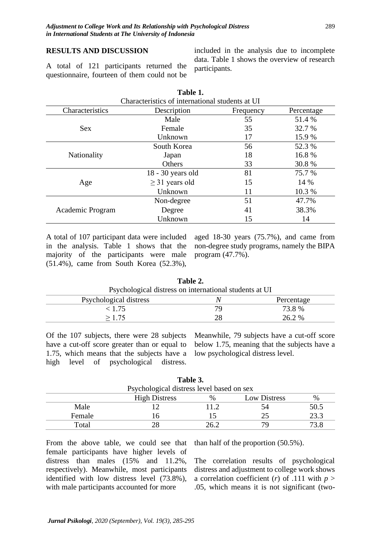#### **RESULTS AND DISCUSSION**

A total of 121 participants returned the questionnaire, fourteen of them could not be

included in the analysis due to incomplete data. Table 1 shows the overview of research participants.

| Characteristics of international students at UI |                     |           |            |  |
|-------------------------------------------------|---------------------|-----------|------------|--|
| Characteristics                                 | Description         | Frequency | Percentage |  |
|                                                 | Male                | 55        | 51.4 %     |  |
| <b>Sex</b>                                      | Female              | 35        | 32.7 %     |  |
|                                                 | Unknown             | 17        | 15.9 %     |  |
| <b>Nationality</b>                              | South Korea         | 56        | 52.3 %     |  |
|                                                 | Japan               | 18        | 16.8%      |  |
|                                                 | Others              | 33        | 30.8 %     |  |
| Age                                             | 18 - 30 years old   | 81        | 75.7 %     |  |
|                                                 | $\geq$ 31 years old | 15        | 14 %       |  |
|                                                 | Unknown             | 11        | 10.3 %     |  |
| Academic Program                                | Non-degree          | 51        | 47.7%      |  |
|                                                 | Degree              | 41        | 38.3%      |  |
|                                                 | Unknown             | 15        | 14         |  |

**Table 1.**

A total of 107 participant data were included in the analysis. Table 1 shows that the majority of the participants were male (51.4%), came from South Korea (52.3%),

aged 18-30 years (75.7%), and came from non-degree study programs, namely the BIPA program (47.7%).

| Psychological distress on international students at UI |    |            |
|--------------------------------------------------------|----|------------|
| Psychological distress                                 |    | Percentage |
| < 1.75                                                 | 70 | 73.8 %     |
| >1.75                                                  | 28 | 26.2 %     |
|                                                        |    |            |

**Table 2.**

Of the 107 subjects, there were 28 subjects have a cut-off score greater than or equal to 1.75, which means that the subjects have a high level of psychological distress.

Meanwhile, 79 subjects have a cut-off score below 1.75, meaning that the subjects have a low psychological distress level.

|                                           |                      | Tavit J. |                     |      |  |
|-------------------------------------------|----------------------|----------|---------------------|------|--|
| Psychological distress level based on sex |                      |          |                     |      |  |
|                                           | <b>High Distress</b> | $\%$     | <b>Low Distress</b> | %    |  |
| Male                                      |                      | 112      |                     | 50.5 |  |
| Female                                    |                      |          |                     | 23.3 |  |
| Total                                     |                      |          |                     | 73.8 |  |

**Table 3.**

From the above table, we could see that female participants have higher levels of distress than males (15% and 11.2%, respectively). Meanwhile, most participants identified with low distress level (73.8%), with male participants accounted for more

than half of the proportion (50.5%).

The correlation results of psychological distress and adjustment to college work shows a correlation coefficient (*r*) of .111 with  $p >$ .05, which means it is not significant (two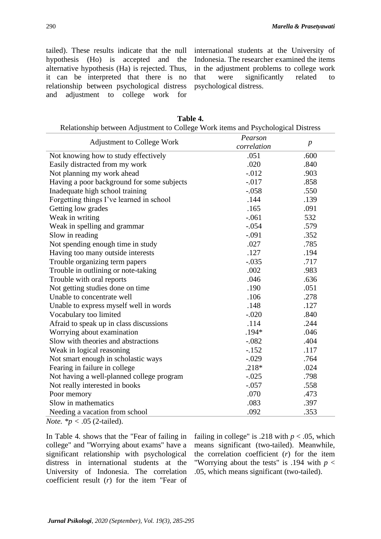tailed). These results indicate that the null hypothesis (Ho) is accepted and the alternative hypothesis (Ha) is rejected. Thus, it can be interpreted that there is no relationship between psychological distress and adjustment to college work for international students at the University of Indonesia. The researcher examined the items in the adjustment problems to college work that were significantly related to psychological distress.

| Relationship between Adjustment to College Work items and Psychological Distress |             |                  |
|----------------------------------------------------------------------------------|-------------|------------------|
| <b>Adjustment to College Work</b>                                                | Pearson     |                  |
|                                                                                  | correlation | $\boldsymbol{p}$ |
| Not knowing how to study effectively                                             | .051        | .600             |
| Easily distracted from my work                                                   | .020        | .840             |
| Not planning my work ahead                                                       | $-0.012$    | .903             |
| Having a poor background for some subjects                                       | $-.017$     | .858             |
| Inadequate high school training                                                  | $-.058$     | .550             |
| Forgetting things I've learned in school                                         | .144        | .139             |
| Getting low grades                                                               | .165        | .091             |
| Weak in writing                                                                  | $-.061$     | 532              |
| Weak in spelling and grammar                                                     | $-.054$     | .579             |
| Slow in reading                                                                  | $-.091$     | .352             |
| Not spending enough time in study                                                | .027        | .785             |
| Having too many outside interests                                                | .127        | .194             |
| Trouble organizing term papers                                                   | $-.035$     | .717             |
| Trouble in outlining or note-taking                                              | .002        | .983             |
| Trouble with oral reports                                                        | .046        | .636             |
| Not getting studies done on time                                                 | .190        | .051             |
| Unable to concentrate well                                                       | .106        | .278             |
| Unable to express myself well in words                                           | .148        | .127             |
| Vocabulary too limited                                                           | $-.020$     | .840             |
| Afraid to speak up in class discussions                                          | .114        | .244             |
| Worrying about examination                                                       | $.194*$     | .046             |
| Slow with theories and abstractions                                              | $-.082$     | .404             |
| Weak in logical reasoning                                                        | $-152$      | .117             |
| Not smart enough in scholastic ways                                              | $-.029$     | .764             |
| Fearing in failure in college                                                    | $.218*$     | .024             |
| Not having a well-planned college program                                        | $-.025$     | .798             |
| Not really interested in books                                                   | $-.057$     | .558             |
| Poor memory                                                                      | .070        | .473             |
| Slow in mathematics                                                              | .083        | .397             |
| Needing a vacation from school                                                   | .092        | .353             |
| <i>Note.</i> $* p < .05$ (2-tailed).                                             |             |                  |

| Table 4.                                                                         |  |  |
|----------------------------------------------------------------------------------|--|--|
| Relationship between Adjustment to College Work items and Psychological Distress |  |  |

In Table 4. shows that the "Fear of failing in college" and "Worrying about exams" have a significant relationship with psychological distress in international students at the University of Indonesia. The correlation coefficient result (*r*) for the item "Fear of failing in college" is .218 with  $p < .05$ , which means significant (two-tailed). Meanwhile, the correlation coefficient (*r*) for the item "Worrying about the tests" is .194 with  $p <$ .05, which means significant (two-tailed).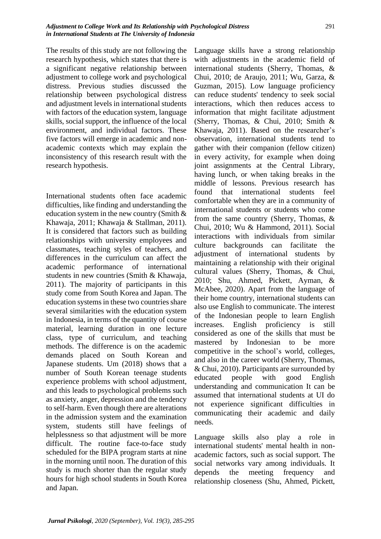The results of this study are not following the research hypothesis, which states that there is a significant negative relationship between adjustment to college work and psychological distress. Previous studies discussed the relationship between psychological distress and adjustment levels in international students with factors of the education system, language skills, social support, the influence of the local environment, and individual factors. These five factors will emerge in academic and nonacademic contexts which may explain the inconsistency of this research result with the research hypothesis.

International students often face academic difficulties, like finding and understanding the education system in the new country (Smith & Khawaja, 2011; Khawaja & Stallman, 2011). It is considered that factors such as building relationships with university employees and classmates, teaching styles of teachers, and differences in the curriculum can affect the academic performance of international students in new countries (Smith & Khawaja, 2011). The majority of participants in this study come from South Korea and Japan. The education systems in these two countries share several similarities with the education system in Indonesia, in terms of the quantity of course material, learning duration in one lecture class, type of curriculum, and teaching methods. The difference is on the academic demands placed on South Korean and Japanese students. Um (2018) shows that a number of South Korean teenage students experience problems with school adjustment, and this leads to psychological problems such as anxiety, anger, depression and the tendency to self-harm. Even though there are alterations in the admission system and the examination system, students still have feelings of helplessness so that adjustment will be more difficult. The routine face-to-face study scheduled for the BIPA program starts at nine in the morning until noon. The duration of this study is much shorter than the regular study hours for high school students in South Korea and Japan.

Language skills have a strong relationship with adjustments in the academic field of international students (Sherry, Thomas, & Chui, 2010; de Araujo, 2011; Wu, Garza, & Guzman, 2015). Low language proficiency can reduce students' tendency to seek social interactions, which then reduces access to information that might facilitate adjustment (Sherry, Thomas, & Chui, 2010; Smith & Khawaja, 2011). Based on the researcher's observation, international students tend to gather with their companion (fellow citizen) in every activity, for example when doing joint assignments at the Central Library, having lunch, or when taking breaks in the middle of lessons. Previous research has found that international students feel comfortable when they are in a community of international students or students who come from the same country (Sherry, Thomas, & Chui, 2010; Wu & Hammond, 2011). Social interactions with individuals from similar culture backgrounds can facilitate the adjustment of international students by maintaining a relationship with their original cultural values (Sherry, Thomas, & Chui, 2010; Shu, Ahmed, Pickett, Ayman, & McAbee, 2020). Apart from the language of their home country, international students can also use English to communicate. The interest of the Indonesian people to learn English increases. English proficiency is still considered as one of the skills that must be mastered by Indonesian to be more competitive in the school's world, colleges, and also in the career world (Sherry, Thomas, & Chui, 2010). Participants are surrounded by educated people with good English understanding and communication It can be assumed that international students at UI do not experience significant difficulties in communicating their academic and daily needs.

Language skills also play a role in international students' mental health in nonacademic factors, such as social support. The social networks vary among individuals. It depends the meeting frequency and relationship closeness (Shu, Ahmed, Pickett,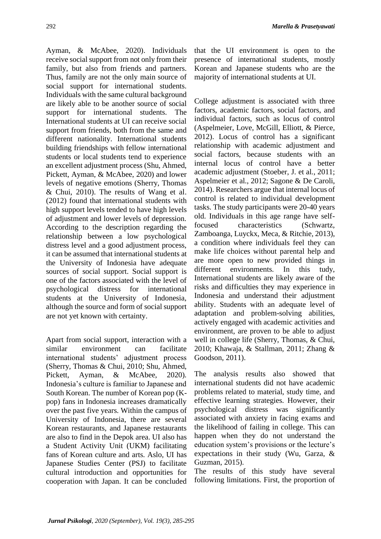Ayman, & McAbee, 2020). Individuals receive social support from not only from their family, but also from friends and partners. Thus, family are not the only main source of social support for international students. Individuals with the same cultural background are likely able to be another source of social support for international students. The International students at UI can receive social support from friends, both from the same and different nationality. International students building friendships with fellow international students or local students tend to experience an excellent adjustment process (Shu, Ahmed, Pickett, Ayman, & McAbee, 2020) and lower levels of negative emotions (Sherry, Thomas & Chui, 2010). The results of Wang et al. (2012) found that international students with high support levels tended to have high levels of adjustment and lower levels of depression. According to the description regarding the relationship between a low psychological distress level and a good adjustment process, it can be assumed that international students at the University of Indonesia have adequate sources of social support. Social support is one of the factors associated with the level of psychological distress for international students at the University of Indonesia, although the source and form of social support are not yet known with certainty.

Apart from social support, interaction with a similar environment can facilitate international students' adjustment process (Sherry, Thomas & Chui, 2010; Shu, Ahmed, Pickett, Ayman, & McAbee, 2020). Indonesia's culture is familiar to Japanese and South Korean. The number of Korean pop (Kpop) fans in Indonesia increases dramatically over the past five years. Within the campus of University of Indonesia, there are several Korean restaurants, and Japanese restaurants are also to find in the Depok area. UI also has a Student Activity Unit (UKM) facilitating fans of Korean culture and arts. Aslo, UI has Japanese Studies Center (PSJ) to facilitate cultural introduction and opportunities for cooperation with Japan. It can be concluded

that the UI environment is open to the presence of international students, mostly Korean and Japanese students who are the majority of international students at UI.

College adjustment is associated with three factors, academic factors, social factors, and individual factors, such as locus of control (Aspelmeier, Love, McGill, Elliott, & Pierce, 2012). Locus of control has a significant relationship with academic adjustment and social factors, because students with an internal locus of control have a better academic adjustment (Stoeber, J. et al., 2011; Aspelmeier et al., 2012; Sagone & De Caroli, 2014). Researchers argue that internal locus of control is related to individual development tasks. The study participants were 20-40 years old. Individuals in this age range have selffocused characteristics (Schwartz, Zamboanga, Luyckx, Meca, & Ritchie, 2013), a condition where individuals feel they can make life choices without parental help and are more open to new provided things in different environments. In this tudy, International students are likely aware of the risks and difficulties they may experience in Indonesia and understand their adjustment ability. Students with an adequate level of adaptation and problem-solving abilities, actively engaged with academic activities and environment, are proven to be able to adjust well in college life (Sherry, Thomas, & Chui, 2010; Khawaja, & Stallman, 2011; Zhang & Goodson, 2011).

The analysis results also showed that international students did not have academic problems related to material, study time, and effective learning strategies. However, their psychological distress was significantly associated with anxiety in facing exams and the likelihood of failing in college. This can happen when they do not understand the education system's provisions or the lecture's expectations in their study (Wu, Garza, & Guzman, 2015).

The results of this study have several following limitations. First, the proportion of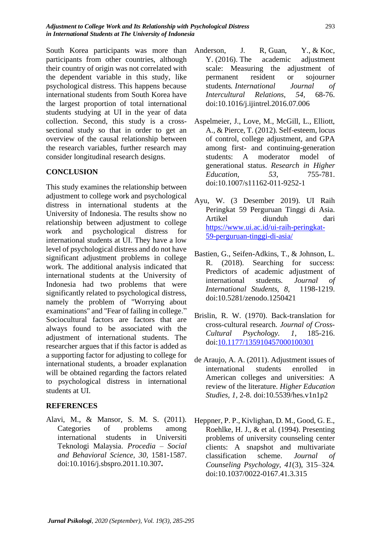South Korea participants was more than participants from other countries, although their country of origin was not correlated with the dependent variable in this study, like psychological distress. This happens because international students from South Korea have the largest proportion of total international students studying at UI in the year of data collection. Second, this study is a crosssectional study so that in order to get an overview of the causal relationship between the research variables, further research may consider longitudinal research designs.

### **CONCLUSION**

This study examines the relationship between adjustment to college work and psychological distress in international students at the University of Indonesia. The results show no relationship between adjustment to college work and psychological distress for international students at UI. They have a low level of psychological distress and do not have significant adjustment problems in college work. The additional analysis indicated that international students at the University of Indonesia had two problems that were significantly related to psychological distress, namely the problem of "Worrying about examinations" and "Fear of failing in college." Sociocultural factors are factors that are always found to be associated with the adjustment of international students. The researcher argues that if this factor is added as a supporting factor for adjusting to college for international students, a broader explanation will be obtained regarding the factors related to psychological distress in international students at UI.

## **REFERENCES**

Alavi, M., & Mansor, S. M. S. (2011). Categories of problems among international students in Universiti Teknologi Malaysia. *Procedia – Social and Behavioral Science, 30,* 1581-1587. doi:10.1016/j.sbspro.2011.10.307**.**

- Anderson, J. R, Guan, Y., & Koc, Y. (2016). The academic adjustment scale: Measuring the adjustment of permanent resident or sojourner students*. International Journal of Intercultural Relations*, *54,* 68-76. doi:10.1016/j.ijintrel.2016.07.006
- Aspelmeier, J., Love, M., McGill, L., Elliott, A., & Pierce, T. (2012). Self-esteem, locus of control, college adjustment, and GPA among first- and continuing-generation students: A moderator model of generational status. *Research in Higher Education, 53*, 755-781. doi:10.1007/s11162-011-9252-1
- Ayu, W. (3 Desember 2019). UI Raih Peringkat 59 Perguruan Tinggi di Asia. Artikel diunduh dari [https://www.ui.ac.id/ui-raih-peringkat-](https://www.ui.ac.id/ui-raih-peringkat-59-perguruan-tinggi-di-asia/)[59-perguruan-tinggi-di-asia/](https://www.ui.ac.id/ui-raih-peringkat-59-perguruan-tinggi-di-asia/)
- Bastien, G., Seifen-Adkins, T., & Johnson, L. R. (2018). Searching for success: Predictors of academic adjustment of international students. *Journal of International Students, 8,* 1198-1219. doi:10.5281/zenodo.1250421
- Brislin, R. W. (1970). Back-translation for cross-cultural research. *Journal of Cross-Cultural Psychology. 1*, 185-216. doi[:10.1177/135910457000100301](https://doi.org/10.1177%2F135910457000100301)
- de Araujo, A. A. (2011). Adjustment issues of international students enrolled in American colleges and universities: A review of the literature. *Higher Education Studies, 1,* 2-8. doi:10.5539/hes.v1n1p2
- Heppner, P. P., Kivlighan, D. M., Good, G. E., Roehlke, H. J., & et al. (1994). Presenting problems of university counseling center clients: A snapshot and multivariate classification scheme. *Journal of Counseling Psychology, 41*(3), 315–324*.* doi:10.1037/0022-0167.41.3.315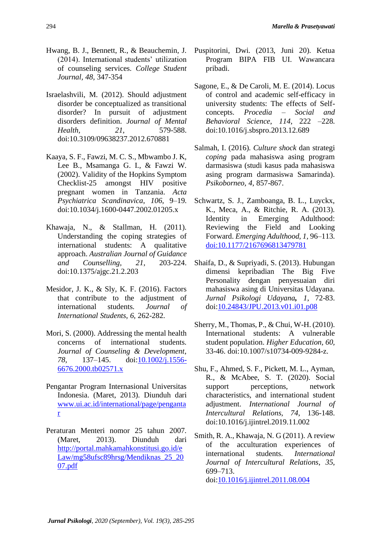- Hwang, B. J., Bennett, R., & Beauchemin, J. (2014). International students' utilization of counseling services. *College Student Journal, 48,* 347-354
- Israelashvili, M. (2012). Should adjustment disorder be conceptualized as transitional disorder? In pursuit of adjustment disorders definition. *Journal of Mental Health, 21*, 579-588. doi:10.3109/09638237.2012.670881
- Kaaya, S. F., Fawzi, M. C. S., Mbwambo J. K, Lee B., Msamanga G. I., & Fawzi W. (2002). Validity of the Hopkins Symptom Checklist-25 amongst HIV positive pregnant women in Tanzania. *Acta Psychiatrica Scandinavica*, *106*, 9–19. doi[:10.1034/j.1600-0447.2002.01205.x](https://doi.org/10.1034/j.1600-0447.2002.01205.x)
- Khawaja, N., & Stallman, H. (2011). Understanding the coping strategies of international students: A qualitative approach. *Australian Journal of Guidance and Counselling, 21*, 203-224. doi:10.1375/ajgc.21.2.203
- Mesidor, J. K., & Sly, K. F. (2016). Factors that contribute to the adjustment of international students. *Journal of International Students*, *6*, 262-282.
- Mori, S. (2000). Addressing the mental health concerns of international students. *Journal of Counseling & Development*, *78,* 137–145. doi[:10.1002/j.1556-](https://doi.org/10.1002/j.1556-6676.2000.tb02571.x) [6676.2000.tb02571.x](https://doi.org/10.1002/j.1556-6676.2000.tb02571.x)
- Pengantar Program Internasional Universitas Indonesia. (Maret, 2013). Diunduh dari [www.ui.ac.id/international/page/penganta](http://www.ui.ac.id/international/page/pengantar) [r](http://www.ui.ac.id/international/page/pengantar)
- Peraturan Menteri nomor 25 tahun 2007. (Maret, 2013). Diunduh dari [http://portal.mahkamahkonstitusi.go.id/e](http://portal.mahkamahkonstitusi.go.id/eLaw/mg58ufsc89hrsg/Mendiknas_25_2007.pdf) [Law/mg58ufsc89hrsg/Mendiknas\\_25\\_20](http://portal.mahkamahkonstitusi.go.id/eLaw/mg58ufsc89hrsg/Mendiknas_25_2007.pdf) [07.pdf](http://portal.mahkamahkonstitusi.go.id/eLaw/mg58ufsc89hrsg/Mendiknas_25_2007.pdf)
- Puspitorini, Dwi. (2013, Juni 20). Ketua Program BIPA FIB UI. Wawancara pribadi.
- Sagone, E., & De Caroli, M. E. (2014). Locus of control and academic self-efficacy in university students: The effects of Selfconcepts. *Procedia – Social and Behavioral Science*, *114*, 222 –228. doi:10.1016/j.sbspro.2013.12.689
- Salmah, I. (2016). *Culture shock* dan strategi *coping* pada mahasiswa asing program darmasiswa (studi kasus pada mahasiswa asing program darmasiswa Samarinda). *Psikoborneo, 4*, 857-867.
- Schwartz, S. J., Zamboanga, B. L., Luyckx, K., Meca, A., & Ritchie, R. A. (2013). Identity in Emerging Adulthood: Reviewing the Field and Looking Forward. *Emerging Adulthood, 1,* 96–113. [doi:10.1177/2167696813479781](https://doi.org/10.1177/2167696813479781)
- Shaifa, D., & Supriyadi, S. (2013). Hubungan dimensi kepribadian The Big Five Personality dengan penyesuaian diri mahasiswa asing di Universitas Udayana. *Jurnal Psikologi Udayana, 1*, 72-83. doi[:10.24843/JPU.2013.v01.i01.p08](https://doi.org/10.24843/JPU.2013.v01.i01.p08)
- Sherry, M., Thomas, P., & Chui, W-H. (2010). International students: A vulnerable student population. *Higher Education, 60,* 33-46. doi:10.1007/s10734-009-9284-z.
- Shu, F., Ahmed, S. F., Pickett, M. L., Ayman, R., & McAbee, S. T. (2020). Social support perceptions, network characteristics, and international student adjustment. *International Journal of Intercultural Relations, 74*, 136-148. doi:10.1016/j.ijintrel.2019.11.002
- Smith, R. A., Khawaja, N. G (2011). A review of the acculturation experiences of international students. *International Journal of Intercultural Relations*, *35*, 699–713. doi[:10.1016/j.ijintrel.2011.08.004](https://psycnet.apa.org/doi/10.1016/j.ijintrel.2011.08.004)